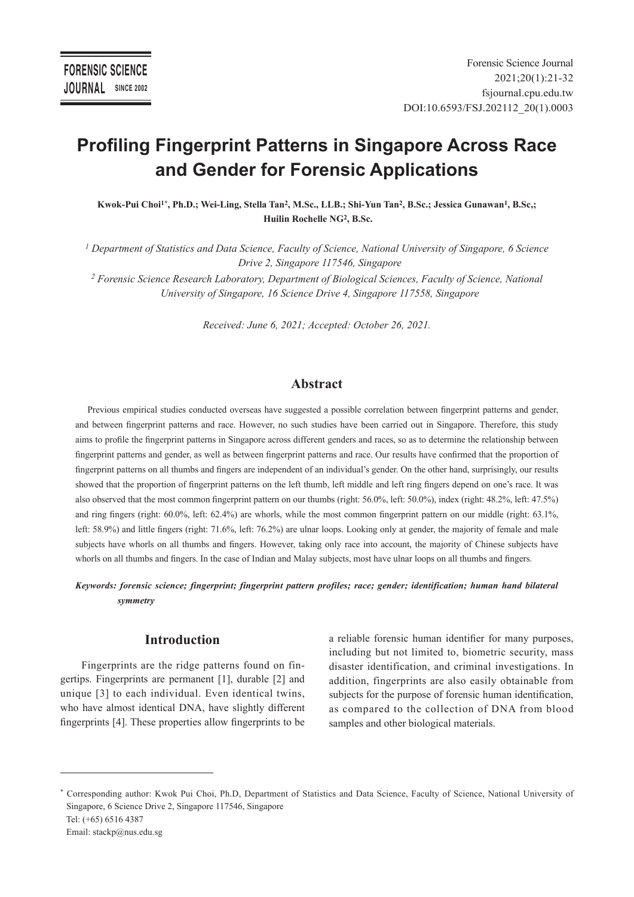# **Profiling Fingerprint Patterns in Singapore Across Race and Gender for Forensic Applications**

**Kwok-Pui Choi1\*, Ph.D.; Wei-Ling, Stella Tan2, M.Sc., LLB.; Shi-Yun Tan2, B.Sc.; Jessica Gunawan1, B.Sc,; Huilin Rochelle NG2, B.Sc.** 

*1 Department of Statistics and Data Science, Faculty of Science, National University of Singapore, 6 Science Drive 2, Singapore 117546, Singapore*

*2 Forensic Science Research Laboratory, Department of Biological Sciences, Faculty of Science, National University of Singapore, 16 Science Drive 4, Singapore 117558, Singapore*

*Received: June 6, 2021; Accepted: October 26, 2021.*

## **Abstract**

Previous empirical studies conducted overseas have suggested a possible correlation between fingerprint patterns and gender, and between fingerprint patterns and race. However, no such studies have been carried out in Singapore. Therefore, this study aims to profile the fingerprint patterns in Singapore across different genders and races, so as to determine the relationship between fingerprint patterns and gender, as well as between fingerprint patterns and race. Our results have confirmed that the proportion of fingerprint patterns on all thumbs and fingers are independent of an individual's gender. On the other hand, surprisingly, our results showed that the proportion of fingerprint patterns on the left thumb, left middle and left ring fingers depend on one's race. It was also observed that the most common fingerprint pattern on our thumbs (right: 56.0%, left: 50.0%), index (right: 48.2%, left: 47.5%) and ring fingers (right: 60.0%, left: 62.4%) are whorls, while the most common fingerprint pattern on our middle (right: 63.1%, left: 58.9%) and little fingers (right: 71.6%, left: 76.2%) are ulnar loops. Looking only at gender, the majority of female and male subjects have whorls on all thumbs and fingers. However, taking only race into account, the majority of Chinese subjects have whorls on all thumbs and fingers. In the case of Indian and Malay subjects, most have ulnar loops on all thumbs and fingers.

## *Keywords: forensic science; fingerprint; fingerprint pattern profiles; race; gender; identification; human hand bilateral symmetry*

# **Introduction**

Fingerprints are the ridge patterns found on fingertips. Fingerprints are permanent [1], durable [2] and unique [3] to each individual. Even identical twins, who have almost identical DNA, have slightly different fingerprints [4]. These properties allow fingerprints to be

a reliable forensic human identifier for many purposes, including but not limited to, biometric security, mass disaster identification, and criminal investigations. In addition, fingerprints are also easily obtainable from subjects for the purpose of forensic human identification, as compared to the collection of DNA from blood samples and other biological materials.

<sup>\*</sup> Corresponding author: Kwok Pui Choi, Ph.D, Department of Statistics and Data Science, Faculty of Science, National University of Singapore, 6 Science Drive 2, Singapore 117546, Singapore Tel: (+65) 6516 4387 Email: stackp@nus.edu.sg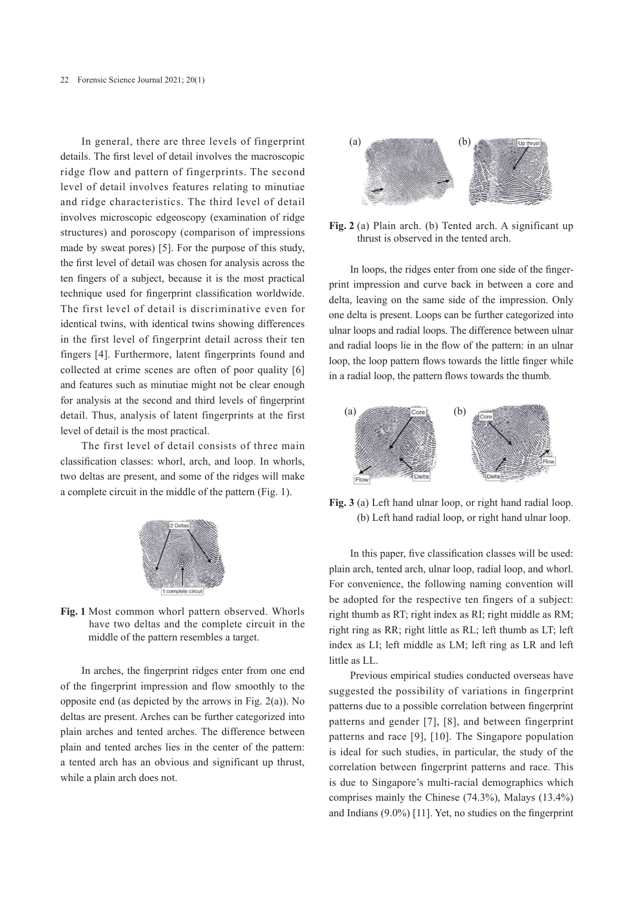In general, there are three levels of fingerprint details. The first level of detail involves the macroscopic ridge flow and pattern of fingerprints. The second level of detail involves features relating to minutiae and ridge characteristics. The third level of detail involves microscopic edgeoscopy (examination of ridge structures) and poroscopy (comparison of impressions made by sweat pores) [5]. For the purpose of this study, the first level of detail was chosen for analysis across the ten fingers of a subject, because it is the most practical technique used for fingerprint classification worldwide. The first level of detail is discriminative even for identical twins, with identical twins showing differences in the first level of fingerprint detail across their ten fingers [4]. Furthermore, latent fingerprints found and collected at crime scenes are often of poor quality [6] and features such as minutiae might not be clear enough for analysis at the second and third levels of fingerprint detail. Thus, analysis of latent fingerprints at the first level of detail is the most practical.

The first level of detail consists of three main classification classes: whorl, arch, and loop. In whorls, two deltas are present, and some of the ridges will make a complete circuit in the middle of the pattern (Fig. 1).



**Fig. 1** Most common whorl pattern observed. Whorls have two deltas and the complete circuit in the middle of the pattern resembles a target.

In arches, the fingerprint ridges enter from one end of the fingerprint impression and flow smoothly to the opposite end (as depicted by the arrows in Fig. 2(a)). No deltas are present. Arches can be further categorized into plain arches and tented arches. The difference between plain and tented arches lies in the center of the pattern: a tented arch has an obvious and significant up thrust, while a plain arch does not.



**Fig. 2** (a) Plain arch. (b) Tented arch. A significant up thrust is observed in the tented arch.

In loops, the ridges enter from one side of the fingerprint impression and curve back in between a core and delta, leaving on the same side of the impression. Only one delta is present. Loops can be further categorized into ulnar loops and radial loops. The difference between ulnar and radial loops lie in the flow of the pattern: in an ulnar loop, the loop pattern flows towards the little finger while in a radial loop, the pattern flows towards the thumb.



**Fig. 3** (a) Left hand ulnar loop, or right hand radial loop. (b) Left hand radial loop, or right hand ulnar loop.

In this paper, five classification classes will be used: plain arch, tented arch, ulnar loop, radial loop, and whorl. For convenience, the following naming convention will be adopted for the respective ten fingers of a subject: right thumb as RT; right index as RI; right middle as RM; right ring as RR; right little as RL; left thumb as LT; left index as LI; left middle as LM; left ring as LR and left little as LL.

Previous empirical studies conducted overseas have suggested the possibility of variations in fingerprint patterns due to a possible correlation between fingerprint patterns and gender [7], [8], and between fingerprint patterns and race [9], [10]. The Singapore population is ideal for such studies, in particular, the study of the correlation between fingerprint patterns and race. This is due to Singapore's multi-racial demographics which comprises mainly the Chinese (74.3%), Malays (13.4%) and Indians (9.0%) [11]. Yet, no studies on the fingerprint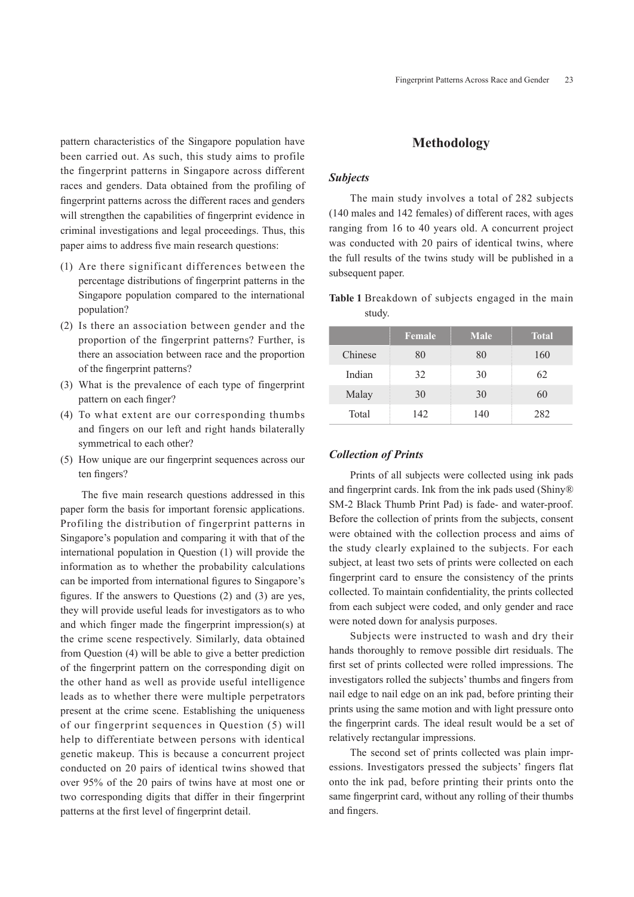pattern characteristics of the Singapore population have been carried out. As such, this study aims to profile the fingerprint patterns in Singapore across different races and genders. Data obtained from the profiling of fingerprint patterns across the different races and genders will strengthen the capabilities of fingerprint evidence in criminal investigations and legal proceedings. Thus, this paper aims to address five main research questions:

- (1) Are there significant differences between the percentage distributions of fingerprint patterns in the Singapore population compared to the international population?
- (2) Is there an association between gender and the proportion of the fingerprint patterns? Further, is there an association between race and the proportion of the fingerprint patterns?
- (3) What is the prevalence of each type of fingerprint pattern on each finger?
- (4) To what extent are our corresponding thumbs and fingers on our left and right hands bilaterally symmetrical to each other?
- (5) How unique are our fingerprint sequences across our ten fingers?

The five main research questions addressed in this paper form the basis for important forensic applications. Profiling the distribution of fingerprint patterns in Singapore's population and comparing it with that of the international population in Question (1) will provide the information as to whether the probability calculations can be imported from international figures to Singapore's figures. If the answers to Questions (2) and (3) are yes, they will provide useful leads for investigators as to who and which finger made the fingerprint impression(s) at the crime scene respectively. Similarly, data obtained from Question (4) will be able to give a better prediction of the fingerprint pattern on the corresponding digit on the other hand as well as provide useful intelligence leads as to whether there were multiple perpetrators present at the crime scene. Establishing the uniqueness of our fingerprint sequences in Question (5) will help to differentiate between persons with identical genetic makeup. This is because a concurrent project conducted on 20 pairs of identical twins showed that over 95% of the 20 pairs of twins have at most one or two corresponding digits that differ in their fingerprint patterns at the first level of fingerprint detail.

# **Methodology**

#### *Subjects*

The main study involves a total of 282 subjects (140 males and 142 females) of different races, with ages ranging from 16 to 40 years old. A concurrent project was conducted with 20 pairs of identical twins, where the full results of the twins study will be published in a subsequent paper.

**Table 1** Breakdown of subjects engaged in the main study.

|         | <b>Female</b> | <b>Male</b> | <b>Total</b> |
|---------|---------------|-------------|--------------|
| Chinese | 80            | 80          | 160          |
| Indian  | 32            | 30          | 62           |
| Malay   | 30            | 30          | 60           |
| Total   | 142           | 140         | 282          |

## *Collection of Prints*

Prints of all subjects were collected using ink pads and fingerprint cards. Ink from the ink pads used (Shiny® SM-2 Black Thumb Print Pad) is fade- and water-proof. Before the collection of prints from the subjects, consent were obtained with the collection process and aims of the study clearly explained to the subjects. For each subject, at least two sets of prints were collected on each fingerprint card to ensure the consistency of the prints collected. To maintain confidentiality, the prints collected from each subject were coded, and only gender and race were noted down for analysis purposes.

Subjects were instructed to wash and dry their hands thoroughly to remove possible dirt residuals. The first set of prints collected were rolled impressions. The investigators rolled the subjects' thumbs and fingers from nail edge to nail edge on an ink pad, before printing their prints using the same motion and with light pressure onto the fingerprint cards. The ideal result would be a set of relatively rectangular impressions.

The second set of prints collected was plain impressions. Investigators pressed the subjects' fingers flat onto the ink pad, before printing their prints onto the same fingerprint card, without any rolling of their thumbs and fingers.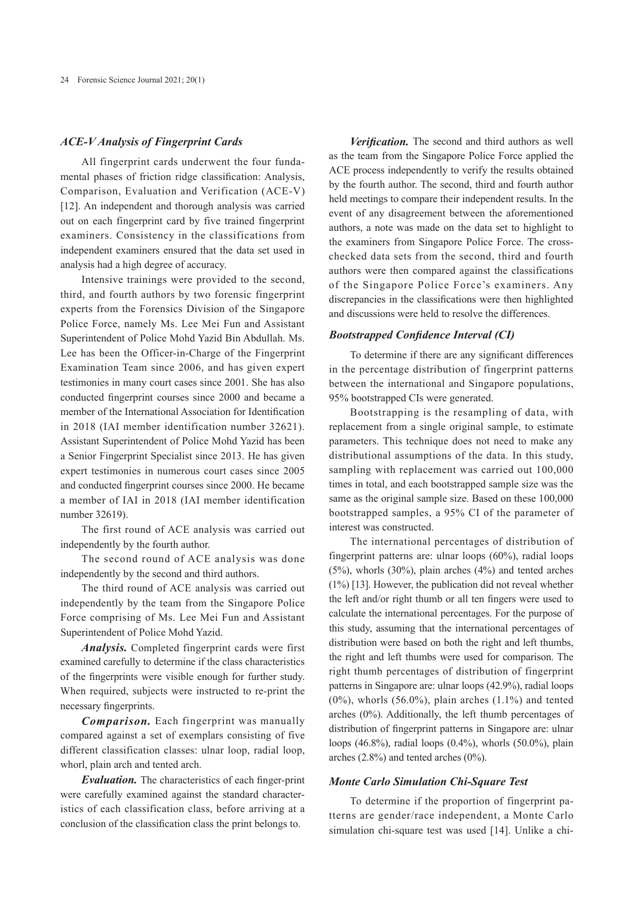#### *ACE-V Analysis of Fingerprint Cards*

All fingerprint cards underwent the four fundamental phases of friction ridge classification: Analysis, Comparison, Evaluation and Verification (ACE-V) [12]. An independent and thorough analysis was carried out on each fingerprint card by five trained fingerprint examiners. Consistency in the classifications from independent examiners ensured that the data set used in analysis had a high degree of accuracy.

Intensive trainings were provided to the second, third, and fourth authors by two forensic fingerprint experts from the Forensics Division of the Singapore Police Force, namely Ms. Lee Mei Fun and Assistant Superintendent of Police Mohd Yazid Bin Abdullah. Ms. Lee has been the Officer-in-Charge of the Fingerprint Examination Team since 2006, and has given expert testimonies in many court cases since 2001. She has also conducted fingerprint courses since 2000 and became a member of the International Association for Identification in 2018 (IAI member identification number 32621). Assistant Superintendent of Police Mohd Yazid has been a Senior Fingerprint Specialist since 2013. He has given expert testimonies in numerous court cases since 2005 and conducted fingerprint courses since 2000. He became a member of IAI in 2018 (IAI member identification number 32619).

The first round of ACE analysis was carried out independently by the fourth author.

The second round of ACE analysis was done independently by the second and third authors.

The third round of ACE analysis was carried out independently by the team from the Singapore Police Force comprising of Ms. Lee Mei Fun and Assistant Superintendent of Police Mohd Yazid.

*Analysis.* Completed fingerprint cards were first examined carefully to determine if the class characteristics of the fingerprints were visible enough for further study. When required, subjects were instructed to re-print the necessary fingerprints.

*Comparison.* Each fingerprint was manually compared against a set of exemplars consisting of five different classification classes: ulnar loop, radial loop, whorl, plain arch and tented arch.

*Evaluation.* The characteristics of each finger-print were carefully examined against the standard characteristics of each classification class, before arriving at a conclusion of the classification class the print belongs to.

*Verification.* The second and third authors as well as the team from the Singapore Police Force applied the ACE process independently to verify the results obtained by the fourth author. The second, third and fourth author held meetings to compare their independent results. In the event of any disagreement between the aforementioned authors, a note was made on the data set to highlight to the examiners from Singapore Police Force. The crosschecked data sets from the second, third and fourth authors were then compared against the classifications of the Singapore Police Force's examiners. Any discrepancies in the classifications were then highlighted and discussions were held to resolve the differences.

#### *Bootstrapped Confidence Interval (CI)*

To determine if there are any significant differences in the percentage distribution of fingerprint patterns between the international and Singapore populations, 95% bootstrapped CIs were generated.

Bootstrapping is the resampling of data, with replacement from a single original sample, to estimate parameters. This technique does not need to make any distributional assumptions of the data. In this study, sampling with replacement was carried out 100,000 times in total, and each bootstrapped sample size was the same as the original sample size. Based on these 100,000 bootstrapped samples, a 95% CI of the parameter of interest was constructed.

The international percentages of distribution of fingerprint patterns are: ulnar loops (60%), radial loops (5%), whorls (30%), plain arches (4%) and tented arches (1%) [13]. However, the publication did not reveal whether the left and/or right thumb or all ten fingers were used to calculate the international percentages. For the purpose of this study, assuming that the international percentages of distribution were based on both the right and left thumbs, the right and left thumbs were used for comparison. The right thumb percentages of distribution of fingerprint patterns in Singapore are: ulnar loops (42.9%), radial loops  $(0\%)$ , whorls  $(56.0\%)$ , plain arches  $(1.1\%)$  and tented arches (0%). Additionally, the left thumb percentages of distribution of fingerprint patterns in Singapore are: ulnar loops (46.8%), radial loops (0.4%), whorls (50.0%), plain arches (2.8%) and tented arches (0%).

#### *Monte Carlo Simulation Chi-Square Test*

To determine if the proportion of fingerprint patterns are gender/race independent, a Monte Carlo simulation chi-square test was used [14]. Unlike a chi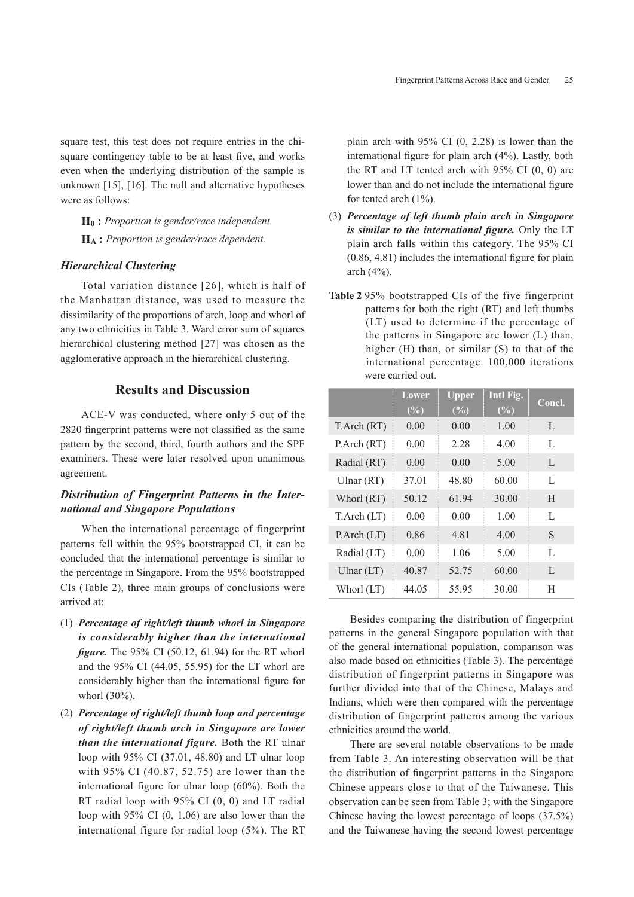square test, this test does not require entries in the chisquare contingency table to be at least five, and works even when the underlying distribution of the sample is unknown [15], [16]. The null and alternative hypotheses were as follows:

**H0 :** *Proportion is gender/race independent.*

**HA :** *Proportion is gender/race dependent.*

#### *Hierarchical Clustering*

Total variation distance [26], which is half of the Manhattan distance, was used to measure the dissimilarity of the proportions of arch, loop and whorl of any two ethnicities in Table 3. Ward error sum of squares hierarchical clustering method [27] was chosen as the agglomerative approach in the hierarchical clustering.

# **Results and Discussion**

ACE-V was conducted, where only 5 out of the 2820 fingerprint patterns were not classified as the same pattern by the second, third, fourth authors and the SPF examiners. These were later resolved upon unanimous agreement.

# *Distribution of Fingerprint Patterns in the International and Singapore Populations*

When the international percentage of fingerprint patterns fell within the 95% bootstrapped CI, it can be concluded that the international percentage is similar to the percentage in Singapore. From the 95% bootstrapped CIs (Table 2), three main groups of conclusions were arrived at:

- (1) *Percentage of right/left thumb whorl in Singapore is considerably higher than the international figure.* The 95% CI (50.12, 61.94) for the RT whorl and the 95% CI (44.05, 55.95) for the LT whorl are considerably higher than the international figure for whorl (30%).
- (2) *Percentage of right/left thumb loop and percentage of right/left thumb arch in Singapore are lower than the international figure.* Both the RT ulnar loop with 95% CI (37.01, 48.80) and LT ulnar loop with 95% CI (40.87, 52.75) are lower than the international figure for ulnar loop (60%). Both the RT radial loop with 95% CI (0, 0) and LT radial loop with 95% CI (0, 1.06) are also lower than the international figure for radial loop (5%). The RT

plain arch with 95% CI (0, 2.28) is lower than the international figure for plain arch (4%). Lastly, both the RT and LT tented arch with 95% CI (0, 0) are lower than and do not include the international figure for tented arch (1%).

- (3) *Percentage of left thumb plain arch in Singapore is similar to the international figure.* Only the LT plain arch falls within this category. The 95% CI (0.86, 4.81) includes the international figure for plain arch (4%).
- **Table 2** 95% bootstrapped CIs of the five fingerprint patterns for both the right (RT) and left thumbs (LT) used to determine if the percentage of the patterns in Singapore are lower (L) than, higher (H) than, or similar (S) to that of the international percentage. 100,000 iterations were carried out.

|                 | Lower  | <b>Upper</b> | Intl Fig. | Concl. |
|-----------------|--------|--------------|-----------|--------|
|                 | $(\%)$ | $(\%)$       | $(\%)$    |        |
| T.Arch (RT)     | 0.00   | 0.00         | 1.00      | L      |
| P.Arch (RT)     | 0.00   | 2.28         | 4.00      | L      |
| Radial (RT)     | 0.00   | 0.00         | 5.00      | L      |
| Ulnar $(RT)$    | 37.01  | 48.80        | 60.00     | L      |
| Whorl (RT)      | 50.12  | 61.94        | 30.00     | H      |
| T.Arch (LT)     | 0.00   | 0.00         | 1.00      | L      |
| $P$ Arch $(LT)$ | 0.86   | 4.81         | 4.00      | S      |
| Radial (LT)     | 0.00   | 1.06         | 5.00      | L      |
| Ulnar $(LT)$    | 40.87  | 52.75        | 60.00     | L      |
| Whorl (LT)      | 44.05  | 55.95        | 30.00     | Н      |

Besides comparing the distribution of fingerprint patterns in the general Singapore population with that of the general international population, comparison was also made based on ethnicities (Table 3). The percentage distribution of fingerprint patterns in Singapore was further divided into that of the Chinese, Malays and Indians, which were then compared with the percentage distribution of fingerprint patterns among the various ethnicities around the world.

There are several notable observations to be made from Table 3. An interesting observation will be that the distribution of fingerprint patterns in the Singapore Chinese appears close to that of the Taiwanese. This observation can be seen from Table 3; with the Singapore Chinese having the lowest percentage of loops (37.5%) and the Taiwanese having the second lowest percentage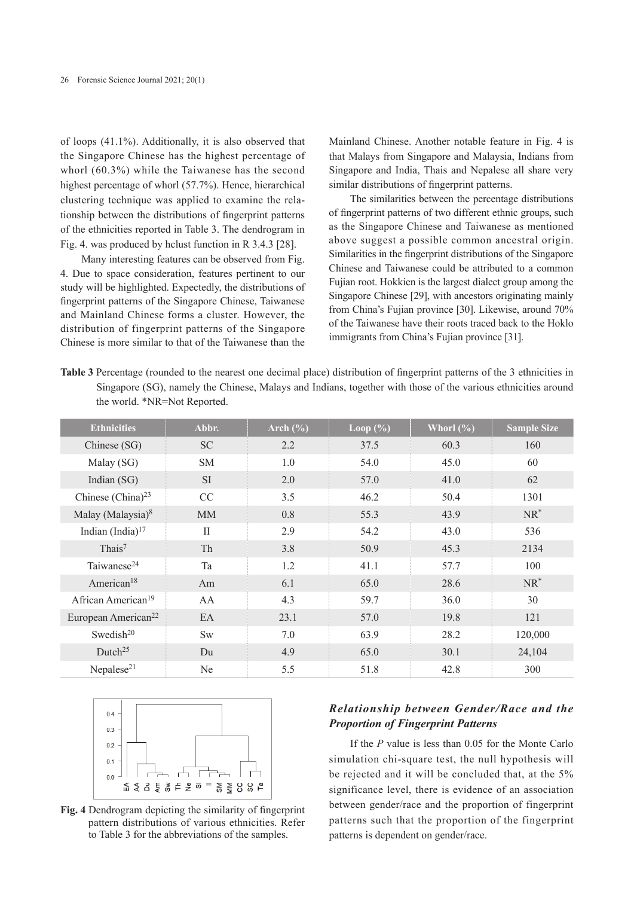of loops (41.1%). Additionally, it is also observed that the Singapore Chinese has the highest percentage of whorl (60.3%) while the Taiwanese has the second highest percentage of whorl (57.7%). Hence, hierarchical clustering technique was applied to examine the relationship between the distributions of fingerprint patterns of the ethnicities reported in Table 3. The dendrogram in Fig. 4. was produced by hclust function in R 3.4.3 [28].

Many interesting features can be observed from Fig. 4. Due to space consideration, features pertinent to our study will be highlighted. Expectedly, the distributions of fingerprint patterns of the Singapore Chinese, Taiwanese and Mainland Chinese forms a cluster. However, the distribution of fingerprint patterns of the Singapore Chinese is more similar to that of the Taiwanese than the Mainland Chinese. Another notable feature in Fig. 4 is that Malays from Singapore and Malaysia, Indians from Singapore and India, Thais and Nepalese all share very similar distributions of fingerprint patterns.

The similarities between the percentage distributions of fingerprint patterns of two different ethnic groups, such as the Singapore Chinese and Taiwanese as mentioned above suggest a possible common ancestral origin. Similarities in the fingerprint distributions of the Singapore Chinese and Taiwanese could be attributed to a common Fujian root. Hokkien is the largest dialect group among the Singapore Chinese [29], with ancestors originating mainly from China's Fujian province [30]. Likewise, around 70% of the Taiwanese have their roots traced back to the Hoklo immigrants from China's Fujian province [31].

**Table 3** Percentage (rounded to the nearest one decimal place) distribution of fingerprint patterns of the 3 ethnicities in Singapore (SG), namely the Chinese, Malays and Indians, together with those of the various ethnicities around the world. \*NR=Not Reported.

| <b>Ethnicities</b>              | Abbr.        | Arch $(\% )$ | Loop $(\% )$ | Whorl $(\% )$ | <b>Sample Size</b> |
|---------------------------------|--------------|--------------|--------------|---------------|--------------------|
| Chinese (SG)                    | <b>SC</b>    | 2.2          | 37.5         | 60.3          | 160                |
| Malay (SG)                      | <b>SM</b>    | 1.0          | 54.0         | 45.0          | 60                 |
| Indian $(SG)$                   | SI.          | 2.0          | 57.0         | 41.0          | 62                 |
| Chinese (China) $^{23}$         | CC           | 3.5          | 46.2         | 50.4          | 1301               |
| Malay (Malaysia) <sup>8</sup>   | <b>MM</b>    | 0.8          | 55.3         | 43.9          | $NR^*$             |
| Indian $(India)^{17}$           | $\mathbf{I}$ | 2.9          | 54.2         | 43.0          | 536                |
| Thais <sup>7</sup>              | Th           | 3.8          | 50.9         | 45.3          | 2134               |
| Taiwanese <sup>24</sup>         | Ta           | 1.2          | 41.1         | 57.7          | 100                |
| American <sup>18</sup>          | Am           | 6.1          | 65.0         | 28.6          | $NR^*$             |
| African American <sup>19</sup>  | AA           | 4.3          | 59.7         | 36.0          | 30                 |
| European American <sup>22</sup> | EA           | 23.1         | 57.0         | 19.8          | 121                |
| Swedish <sup>20</sup>           | <b>Sw</b>    | 7.0          | 63.9         | 28.2          | 120,000            |
| Dutch <sup>25</sup>             | Du           | 4.9          | 65.0         | 30.1          | 24,104             |
| Nepalese $21$                   | Ne.          | 5.5          | 51.8         | 42.8          | 300                |





# *Relationship between Gender/Race and the Proportion of Fingerprint Patterns*

If the *P* value is less than 0.05 for the Monte Carlo simulation chi-square test, the null hypothesis will be rejected and it will be concluded that, at the 5% significance level, there is evidence of an association between gender/race and the proportion of fingerprint patterns such that the proportion of the fingerprint patterns is dependent on gender/race.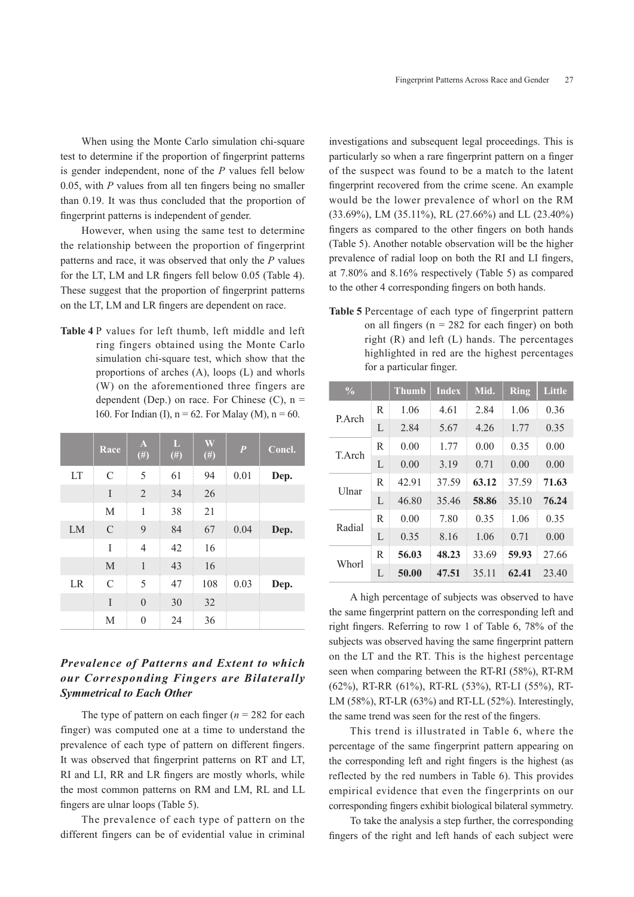When using the Monte Carlo simulation chi-square test to determine if the proportion of fingerprint patterns is gender independent, none of the *P* values fell below 0.05, with *P* values from all ten fingers being no smaller than 0.19. It was thus concluded that the proportion of fingerprint patterns is independent of gender.

However, when using the same test to determine the relationship between the proportion of fingerprint patterns and race, it was observed that only the *P* values for the LT, LM and LR fingers fell below 0.05 (Table 4). These suggest that the proportion of fingerprint patterns on the LT, LM and LR fingers are dependent on race.

**Table 4** P values for left thumb, left middle and left ring fingers obtained using the Monte Carlo simulation chi-square test, which show that the proportions of arches (A), loops (L) and whorls (W) on the aforementioned three fingers are dependent (Dep.) on race. For Chinese  $(C)$ ,  $n =$ 160. For Indian (I),  $n = 62$ . For Malay (M),  $n = 60$ .

|    | Race          | $\mathbf{A}$<br>$(\#)$ | L<br>$(\#)$ | W<br>$(\#)$ | $\overline{P}$ | Concl. |
|----|---------------|------------------------|-------------|-------------|----------------|--------|
| LT | $\mathcal{C}$ | 5                      | 61          | 94          | 0.01           | Dep.   |
|    | I             | $\overline{2}$         | 34          | 26          |                |        |
|    | M             | 1                      | 38          | 21          |                |        |
| LM | $\mathcal{C}$ | 9                      | 84          | 67          | 0.04           | Dep.   |
|    | Ī             | $\overline{4}$         | 42          | 16          |                |        |
|    | M             | $\mathbf{1}$           | 43          | 16          |                |        |
| LR | $\mathcal{C}$ | 5                      | 47          | 108         | 0.03           | Dep.   |
|    | I             | $\boldsymbol{0}$       | 30          | 32          |                |        |
|    | M             | $\boldsymbol{0}$       | 24          | 36          |                |        |

# *Prevalence of Patterns and Extent to which our Corresponding Fingers are Bilaterally Symmetrical to Each Other*

The type of pattern on each finger  $(n = 282$  for each finger) was computed one at a time to understand the prevalence of each type of pattern on different fingers. It was observed that fingerprint patterns on RT and LT, RI and LI, RR and LR fingers are mostly whorls, while the most common patterns on RM and LM, RL and LL fingers are ulnar loops (Table 5).

The prevalence of each type of pattern on the different fingers can be of evidential value in criminal

investigations and subsequent legal proceedings. This is particularly so when a rare fingerprint pattern on a finger of the suspect was found to be a match to the latent fingerprint recovered from the crime scene. An example would be the lower prevalence of whorl on the RM (33.69%), LM (35.11%), RL (27.66%) and LL (23.40%) fingers as compared to the other fingers on both hands (Table 5). Another notable observation will be the higher prevalence of radial loop on both the RI and LI fingers, at 7.80% and 8.16% respectively (Table 5) as compared to the other 4 corresponding fingers on both hands.

**Table 5** Percentage of each type of fingerprint pattern on all fingers ( $n = 282$  for each finger) on both right (R) and left (L) hands. The percentages highlighted in red are the highest percentages for a particular finger.

| $\frac{0}{0}$ |              | <b>Thumb</b> | <b>Index</b> | Mid.  | <b>Ring</b> | Little |
|---------------|--------------|--------------|--------------|-------|-------------|--------|
| P.Arch        | R            | 1.06         | 4.61         | 2.84  | 1.06        | 0.36   |
|               | L            | 2.84         | 5.67         | 4.26  | 1.77        | 0.35   |
| T. Arch       | R            | 0.00         | 1.77         | 0.00  | 0.35        | 0.00   |
|               | $\mathbf{L}$ | 0.00         | 3.19         | 0.71  | 0.00        | 0.00   |
|               | R            | 42.91        | 37.59        | 63.12 | 37.59       | 71.63  |
| <b>U</b> lnar | $\mathbf{L}$ | 46.80        | 35.46        | 58.86 | 35.10       | 76.24  |
| Radial        | R            | 0.00         | 7.80         | 0.35  | 1.06        | 0.35   |
|               | $\mathbf{L}$ | 0.35         | 8.16         | 1.06  | 0.71        | 0.00   |
| Whorl         | R            | 56.03        | 48.23        | 33.69 | 59.93       | 27.66  |
|               | $\mathbf{L}$ | 50.00        | 47.51        | 35.11 | 62.41       | 23.40  |

A high percentage of subjects was observed to have the same fingerprint pattern on the corresponding left and right fingers. Referring to row 1 of Table 6, 78% of the subjects was observed having the same fingerprint pattern on the LT and the RT. This is the highest percentage seen when comparing between the RT-RI (58%), RT-RM (62%), RT-RR (61%), RT-RL (53%), RT-LI (55%), RT-LM (58%), RT-LR (63%) and RT-LL (52%). Interestingly, the same trend was seen for the rest of the fingers.

This trend is illustrated in Table 6, where the percentage of the same fingerprint pattern appearing on the corresponding left and right fingers is the highest (as reflected by the red numbers in Table 6). This provides empirical evidence that even the fingerprints on our corresponding fingers exhibit biological bilateral symmetry.

To take the analysis a step further, the corresponding fingers of the right and left hands of each subject were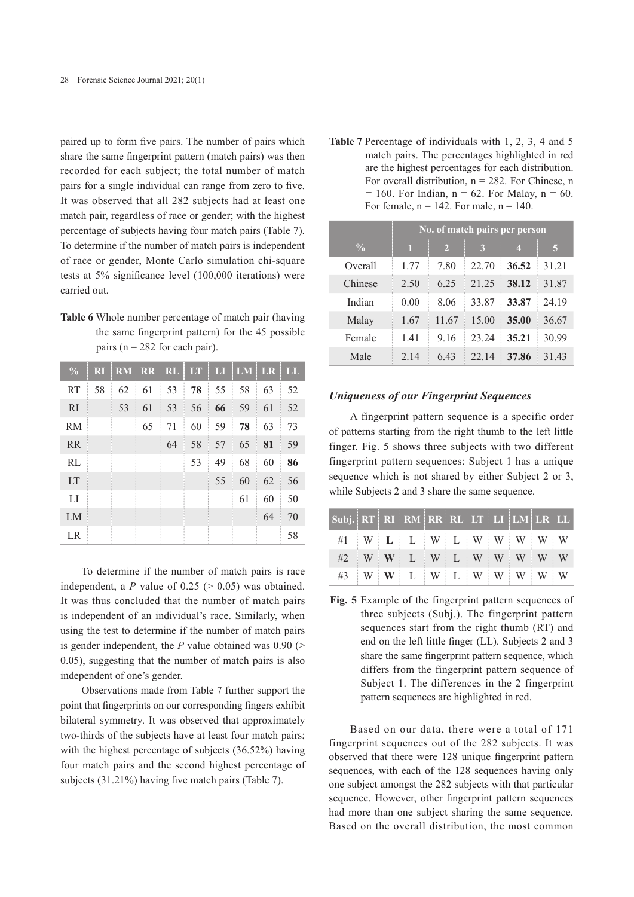paired up to form five pairs. The number of pairs which share the same fingerprint pattern (match pairs) was then recorded for each subject; the total number of match pairs for a single individual can range from zero to five. It was observed that all 282 subjects had at least one match pair, regardless of race or gender; with the highest percentage of subjects having four match pairs (Table 7). To determine if the number of match pairs is independent of race or gender, Monte Carlo simulation chi-square tests at 5% significance level (100,000 iterations) were carried out.

**Table 6** Whole number percentage of match pair (having the same fingerprint pattern) for the 45 possible pairs ( $n = 282$  for each pair).

| $\frac{0}{0}$ | R <sub>1</sub> |    |    | RM RR RL LT |    | $\mathbf{L}$ | $LM$ LR |    | LL |
|---------------|----------------|----|----|-------------|----|--------------|---------|----|----|
| <b>RT</b>     | 58             | 62 | 61 | 53          | 78 | 55           | 58      | 63 | 52 |
| <sub>RI</sub> |                | 53 | 61 | 53          | 56 | 66           | 59      | 61 | 52 |
| <b>RM</b>     |                |    | 65 | 71          | 60 | 59           | 78      | 63 | 73 |
| <b>RR</b>     |                |    |    | 64          | 58 | 57           | 65      | 81 | 59 |
| RL            |                |    |    |             | 53 | 49           | 68      | 60 | 86 |
| <b>LT</b>     |                |    |    |             |    | 55           | 60      | 62 | 56 |
| LI            |                |    |    |             |    |              | 61      | 60 | 50 |
| LM            |                |    |    |             |    |              |         | 64 | 70 |
| LR            |                |    |    |             |    |              |         |    | 58 |

To determine if the number of match pairs is race independent, a  $P$  value of 0.25 ( $> 0.05$ ) was obtained. It was thus concluded that the number of match pairs is independent of an individual's race. Similarly, when using the test to determine if the number of match pairs is gender independent, the  $P$  value obtained was 0.90 ( $>$ 0.05), suggesting that the number of match pairs is also independent of one's gender.

Observations made from Table 7 further support the point that fingerprints on our corresponding fingers exhibit bilateral symmetry. It was observed that approximately two-thirds of the subjects have at least four match pairs; with the highest percentage of subjects (36.52%) having four match pairs and the second highest percentage of subjects (31.21%) having five match pairs (Table 7).

**Table 7** Percentage of individuals with 1, 2, 3, 4 and 5 match pairs. The percentages highlighted in red are the highest percentages for each distribution. For overall distribution,  $n = 282$ . For Chinese, n  $= 160$ . For Indian,  $n = 62$ . For Malay,  $n = 60$ . For female,  $n = 142$ . For male,  $n = 140$ .

|               | No. of match pairs per person |                |       |                         |       |  |  |  |  |
|---------------|-------------------------------|----------------|-------|-------------------------|-------|--|--|--|--|
| $\frac{0}{0}$ | П                             | $\overline{2}$ | 3     | $\overline{\mathbf{4}}$ | 5     |  |  |  |  |
| Overall       | 1.77                          | 7.80           | 22.70 | 36.52                   | 31.21 |  |  |  |  |
| Chinese       | 2.50                          | 6.25           | 21.25 | 38.12                   | 31.87 |  |  |  |  |
| Indian        | 0.00                          | 8.06           | 33.87 | 33.87                   | 24.19 |  |  |  |  |
| Malay         | 1.67                          | 11.67          | 15.00 | 35.00                   | 36.67 |  |  |  |  |
| Female        | 1.41                          | 9.16           | 23.24 | 35.21                   | 30.99 |  |  |  |  |
| Male          | 2.14                          | 6.43           | 22 14 | 37.86                   | 31.43 |  |  |  |  |

#### *Uniqueness of our Fingerprint Sequences*

A fingerprint pattern sequence is a specific order of patterns starting from the right thumb to the left little finger. Fig. 5 shows three subjects with two different fingerprint pattern sequences: Subject 1 has a unique sequence which is not shared by either Subject 2 or 3, while Subjects 2 and 3 share the same sequence.

| Subj. RT RI RM RR RL LT LI LM LR LL |  |                            |  |  |  |  |
|-------------------------------------|--|----------------------------|--|--|--|--|
| $\#1$ W L L W L W W W W W W         |  |                            |  |  |  |  |
|                                     |  | $#2$ W W L W L W W W W W W |  |  |  |  |
|                                     |  | $#3$ WWLWLWWWWWW           |  |  |  |  |

**Fig. 5** Example of the fingerprint pattern sequences of three subjects (Subj.). The fingerprint pattern sequences start from the right thumb (RT) and end on the left little finger (LL). Subjects 2 and 3 share the same fingerprint pattern sequence, which differs from the fingerprint pattern sequence of Subject 1. The differences in the 2 fingerprint pattern sequences are highlighted in red.

Based on our data, there were a total of 171 fingerprint sequences out of the 282 subjects. It was observed that there were 128 unique fingerprint pattern sequences, with each of the 128 sequences having only one subject amongst the 282 subjects with that particular sequence. However, other fingerprint pattern sequences had more than one subject sharing the same sequence. Based on the overall distribution, the most common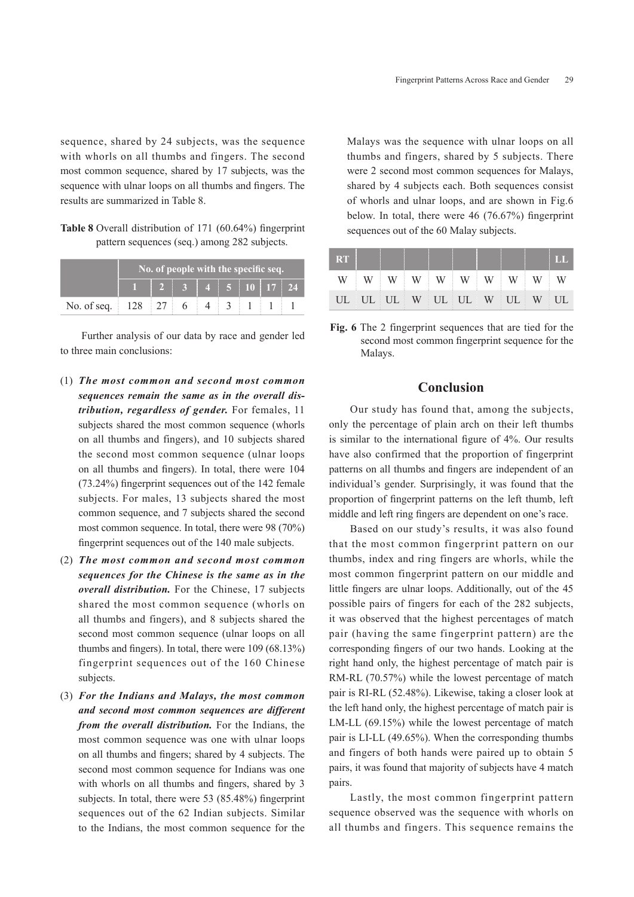sequence, shared by 24 subjects, was the sequence with whorls on all thumbs and fingers. The second most common sequence, shared by 17 subjects, was the sequence with ulnar loops on all thumbs and fingers. The results are summarized in Table 8.

**Table 8** Overall distribution of 171 (60.64%) fingerprint pattern sequences (seq.) among 282 subjects.

|                                        | No. of people with the specific seq. |                                                                                 |  |  |  |  |  |  |  |
|----------------------------------------|--------------------------------------|---------------------------------------------------------------------------------|--|--|--|--|--|--|--|
|                                        |                                      | $\begin{array}{ c c c c c c }\n\hline\n2&3&4&5&10&17&24 \\ \hline\n\end{array}$ |  |  |  |  |  |  |  |
| No. of seq.   128   27   6   4   3   1 |                                      |                                                                                 |  |  |  |  |  |  |  |

Further analysis of our data by race and gender led to three main conclusions:

- (1) *The most common and second most common sequences remain the same as in the overall distribution, regardless of gender.* For females, 11 subjects shared the most common sequence (whorls on all thumbs and fingers), and 10 subjects shared the second most common sequence (ulnar loops on all thumbs and fingers). In total, there were 104 (73.24%) fingerprint sequences out of the 142 female subjects. For males, 13 subjects shared the most common sequence, and 7 subjects shared the second most common sequence. In total, there were 98 (70%) fingerprint sequences out of the 140 male subjects.
- (2) *The most common and second most common sequences for the Chinese is the same as in the overall distribution.* For the Chinese, 17 subjects shared the most common sequence (whorls on all thumbs and fingers), and 8 subjects shared the second most common sequence (ulnar loops on all thumbs and fingers). In total, there were 109 (68.13%) fingerprint sequences out of the 160 Chinese subjects.
- (3) *For the Indians and Malays, the most common and second most common sequences are different from the overall distribution.* For the Indians, the most common sequence was one with ulnar loops on all thumbs and fingers; shared by 4 subjects. The second most common sequence for Indians was one with whorls on all thumbs and fingers, shared by 3 subjects. In total, there were 53 (85.48%) fingerprint sequences out of the 62 Indian subjects. Similar to the Indians, the most common sequence for the

Malays was the sequence with ulnar loops on all thumbs and fingers, shared by 5 subjects. There were 2 second most common sequences for Malays, shared by 4 subjects each. Both sequences consist of whorls and ulnar loops, and are shown in Fig.6 below. In total, there were 46 (76.67%) fingerprint sequences out of the 60 Malay subjects.

| <b>RT</b>                  |  |  |  |  | † LL |
|----------------------------|--|--|--|--|------|
| WWWWWWWWWWWWW              |  |  |  |  |      |
| UL UL UL W UL UL W UL W UL |  |  |  |  |      |

**Fig. 6** The 2 fingerprint sequences that are tied for the second most common fingerprint sequence for the Malays.

## **Conclusion**

Our study has found that, among the subjects, only the percentage of plain arch on their left thumbs is similar to the international figure of 4%. Our results have also confirmed that the proportion of fingerprint patterns on all thumbs and fingers are independent of an individual's gender. Surprisingly, it was found that the proportion of fingerprint patterns on the left thumb, left middle and left ring fingers are dependent on one's race.

Based on our study's results, it was also found that the most common fingerprint pattern on our thumbs, index and ring fingers are whorls, while the most common fingerprint pattern on our middle and little fingers are ulnar loops. Additionally, out of the 45 possible pairs of fingers for each of the 282 subjects, it was observed that the highest percentages of match pair (having the same fingerprint pattern) are the corresponding fingers of our two hands. Looking at the right hand only, the highest percentage of match pair is RM-RL (70.57%) while the lowest percentage of match pair is RI-RL (52.48%). Likewise, taking a closer look at the left hand only, the highest percentage of match pair is LM-LL (69.15%) while the lowest percentage of match pair is LI-LL (49.65%). When the corresponding thumbs and fingers of both hands were paired up to obtain 5 pairs, it was found that majority of subjects have 4 match pairs.

Lastly, the most common fingerprint pattern sequence observed was the sequence with whorls on all thumbs and fingers. This sequence remains the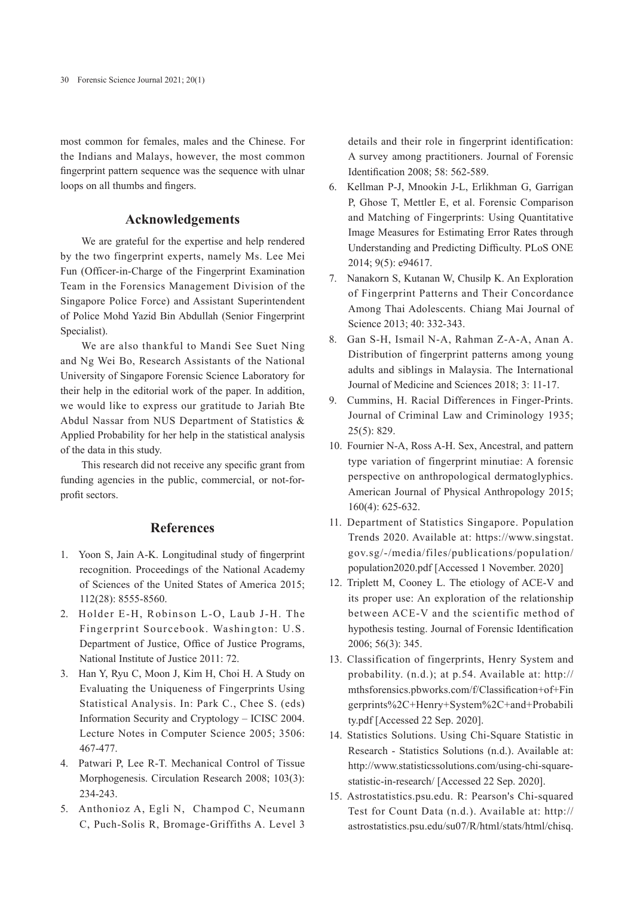most common for females, males and the Chinese. For the Indians and Malays, however, the most common fingerprint pattern sequence was the sequence with ulnar loops on all thumbs and fingers.

# **Acknowledgements**

We are grateful for the expertise and help rendered by the two fingerprint experts, namely Ms. Lee Mei Fun (Officer-in-Charge of the Fingerprint Examination Team in the Forensics Management Division of the Singapore Police Force) and Assistant Superintendent of Police Mohd Yazid Bin Abdullah (Senior Fingerprint Specialist).

We are also thankful to Mandi See Suet Ning and Ng Wei Bo, Research Assistants of the National University of Singapore Forensic Science Laboratory for their help in the editorial work of the paper. In addition, we would like to express our gratitude to Jariah Bte Abdul Nassar from NUS Department of Statistics & Applied Probability for her help in the statistical analysis of the data in this study.

This research did not receive any specific grant from funding agencies in the public, commercial, or not-forprofit sectors.

# **References**

- 1. Yoon S, Jain A-K. Longitudinal study of fingerprint recognition. Proceedings of the National Academy of Sciences of the United States of America 2015; 112(28): 8555-8560.
- 2. Holder E-H, Robinson L-O, Laub J-H. The Fingerprint Sourcebook. Washington: U.S. Department of Justice, Office of Justice Programs, National Institute of Justice 2011: 72.
- 3. Han Y, Ryu C, Moon J, Kim H, Choi H. A Study on Evaluating the Uniqueness of Fingerprints Using Statistical Analysis. In: Park C., Chee S. (eds) Information Security and Cryptology – ICISC 2004. Lecture Notes in Computer Science 2005; 3506: 467-477.
- 4. Patwari P, Lee R-T. Mechanical Control of Tissue Morphogenesis. Circulation Research 2008; 103(3): 234-243.
- 5. Anthonioz A, Egli N, Champod C, Neumann C, Puch-Solis R, Bromage-Griffiths A. Level 3

details and their role in fingerprint identification: A survey among practitioners. Journal of Forensic Identification 2008; 58: 562-589.

- 6. Kellman P-J, Mnookin J-L, Erlikhman G, Garrigan P, Ghose T, Mettler E, et al. Forensic Comparison and Matching of Fingerprints: Using Quantitative Image Measures for Estimating Error Rates through Understanding and Predicting Difficulty. PLoS ONE 2014; 9(5): e94617.
- 7. Nanakorn S, Kutanan W, Chusilp K. An Exploration of Fingerprint Patterns and Their Concordance Among Thai Adolescents. Chiang Mai Journal of Science 2013; 40: 332-343.
- 8. Gan S-H, Ismail N-A, Rahman Z-A-A, Anan A. Distribution of fingerprint patterns among young adults and siblings in Malaysia. The International Journal of Medicine and Sciences 2018; 3: 11-17.
- 9. Cummins, H. Racial Differences in Finger-Prints. Journal of Criminal Law and Criminology 1935; 25(5): 829.
- 10. Fournier N-A, Ross A-H. Sex, Ancestral, and pattern type variation of fingerprint minutiae: A forensic perspective on anthropological dermatoglyphics. American Journal of Physical Anthropology 2015; 160(4): 625-632.
- 11. Department of Statistics Singapore. Population Trends 2020. Available at: https://www.singstat. gov.sg/-/media/files/publications/population/ population2020.pdf [Accessed 1 November. 2020]
- 12. Triplett M, Cooney L. The etiology of ACE-V and its proper use: An exploration of the relationship between ACE-V and the scientific method of hypothesis testing. Journal of Forensic Identification 2006; 56(3): 345.
- 13. Classification of fingerprints, Henry System and probability. (n.d.); at p.54. Available at: http:// mthsforensics.pbworks.com/f/Classification+of+Fin gerprints%2C+Henry+System%2C+and+Probabili ty.pdf [Accessed 22 Sep. 2020].
- 14. Statistics Solutions. Using Chi-Square Statistic in Research - Statistics Solutions (n.d.). Available at: http://www.statisticssolutions.com/using-chi-squarestatistic-in-research/ [Accessed 22 Sep. 2020].
- 15. Astrostatistics.psu.edu. R: Pearson's Chi-squared Test for Count Data (n.d.). Available at: http:// astrostatistics.psu.edu/su07/R/html/stats/html/chisq.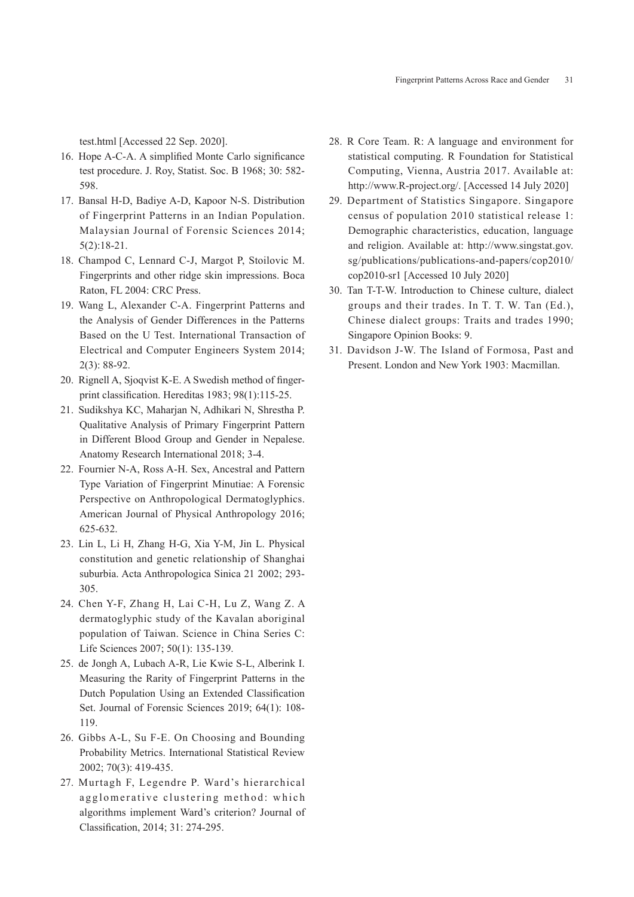test.html [Accessed 22 Sep. 2020].

- 16. Hope A-C-A. A simplified Monte Carlo significance test procedure. J. Roy, Statist. Soc. B 1968; 30: 582- 598.
- 17. Bansal H-D, Badiye A-D, Kapoor N-S. Distribution of Fingerprint Patterns in an Indian Population. Malaysian Journal of Forensic Sciences 2014; 5(2):18-21.
- 18. Champod C, Lennard C-J, Margot P, Stoilovic M. Fingerprints and other ridge skin impressions. Boca Raton, FL 2004: CRC Press.
- 19. Wang L, Alexander C-A. Fingerprint Patterns and the Analysis of Gender Differences in the Patterns Based on the U Test. International Transaction of Electrical and Computer Engineers System 2014; 2(3): 88-92.
- 20. Rignell A, Sjoqvist K-E. A Swedish method of fingerprint classification. Hereditas 1983; 98(1):115-25.
- 21. Sudikshya KC, Maharjan N, Adhikari N, Shrestha P. Qualitative Analysis of Primary Fingerprint Pattern in Different Blood Group and Gender in Nepalese. Anatomy Research International 2018; 3-4.
- 22. Fournier N-A, Ross A-H. Sex, Ancestral and Pattern Type Variation of Fingerprint Minutiae: A Forensic Perspective on Anthropological Dermatoglyphics. American Journal of Physical Anthropology 2016; 625-632.
- 23. Lin L, Li H, Zhang H-G, Xia Y-M, Jin L. Physical constitution and genetic relationship of Shanghai suburbia. Acta Anthropologica Sinica 21 2002; 293- 305.
- 24. Chen Y-F, Zhang H, Lai C-H, Lu Z, Wang Z. A dermatoglyphic study of the Kavalan aboriginal population of Taiwan. Science in China Series C: Life Sciences 2007; 50(1): 135-139.
- 25. de Jongh A, Lubach A-R, Lie Kwie S-L, Alberink I. Measuring the Rarity of Fingerprint Patterns in the Dutch Population Using an Extended Classification Set. Journal of Forensic Sciences 2019; 64(1): 108- 119.
- 26. Gibbs A-L, Su F-E. On Choosing and Bounding Probability Metrics. International Statistical Review 2002; 70(3): 419-435.
- 27. Murtagh F, Legendre P. Ward's hierarchical agglomerative clustering method: which algorithms implement Ward's criterion? Journal of Classification, 2014; 31: 274-295.
- 28. R Core Team. R: A language and environment for statistical computing. R Foundation for Statistical Computing, Vienna, Austria 2017. Available at: http://www.R-project.org/. [Accessed 14 July 2020]
- 29. Department of Statistics Singapore. Singapore census of population 2010 statistical release 1: Demographic characteristics, education, language and religion. Available at: http://www.singstat.gov. sg/publications/publications-and-papers/cop2010/ cop2010-sr1 [Accessed 10 July 2020]
- 30. Tan T-T-W. Introduction to Chinese culture, dialect groups and their trades. In T. T. W. Tan (Ed.), Chinese dialect groups: Traits and trades 1990; Singapore Opinion Books: 9.
- 31. Davidson J-W. The Island of Formosa, Past and Present. London and New York 1903: Macmillan.